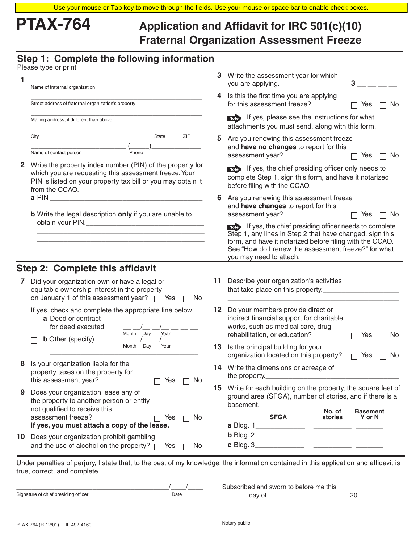# **PTAX-764 Application and Affidavit for IRC 501(c)(10) Fraternal Organization Assessment Freeze**

## **Step 1: Complete the following information**

| Please type or print |  |  |  |  |
|----------------------|--|--|--|--|
|----------------------|--|--|--|--|

|              | Please type or print                                                                                                                                                                                 |    |                                                                                                                                                                                                                                                                       |
|--------------|------------------------------------------------------------------------------------------------------------------------------------------------------------------------------------------------------|----|-----------------------------------------------------------------------------------------------------------------------------------------------------------------------------------------------------------------------------------------------------------------------|
|              | Name of fraternal organization                                                                                                                                                                       |    | 3 Write the assessment year for which<br>3<br>you are applying.                                                                                                                                                                                                       |
|              | Street address of fraternal organization's property                                                                                                                                                  | 4  | Is this the first time you are applying<br>for this assessment freeze?<br>Yes<br>No                                                                                                                                                                                   |
|              | Mailing address, if different than above                                                                                                                                                             |    | <b>Note</b> If yes, please see the instructions for what<br>attachments you must send, along with this form.                                                                                                                                                          |
|              | City<br>ZIP<br>State<br>Name of contact person<br>Phone                                                                                                                                              | 5  | Are you renewing this assessment freeze<br>and have no changes to report for this<br>assessment year?<br>Yes<br>No.                                                                                                                                                   |
| $\mathbf{2}$ | Write the property index number (PIN) of the property for<br>which you are requesting this assessment freeze. Your<br>PIN is listed on your property tax bill or you may obtain it<br>from the CCAO. |    | Note If yes, the chief presiding officer only needs to<br>complete Step 1, sign this form, and have it notarized<br>before filing with the CCAO.                                                                                                                      |
|              | <b>b</b> Write the legal description only if you are unable to                                                                                                                                       | 6  | Are you renewing this assessment freeze<br>and have changes to report for this<br>assessment year?<br>Yes<br>No.                                                                                                                                                      |
|              |                                                                                                                                                                                                      |    | Note If yes, the chief presiding officer needs to complete<br>Step 1, any lines in Step 2 that have changed, sign this<br>form, and have it notarized before filing with the CCAO.<br>See "How do I renew the assessment freeze?" for what<br>you may need to attach. |
|              | Step 2: Complete this affidavit                                                                                                                                                                      |    |                                                                                                                                                                                                                                                                       |
|              | Did your organization own or have a legal or<br>equitable ownership interest in the property<br>on January 1 of this assessment year? $\Box$ Yes<br>No.                                              | 11 | Describe your organization's activities<br>that take place on this property.                                                                                                                                                                                          |
|              | If yes, check and complete the appropriate line below.<br>a Deed or contract<br>for deed executed                                                                                                    |    | 12 Do your members provide direct or<br>indirect financial support for charitable<br>works, such as medical care, drug                                                                                                                                                |
|              | Year<br>Month<br>Day<br><b>b</b> Other (specify)<br>Day<br>Year<br>Month                                                                                                                             |    | rehabilitation, or education?<br>No<br>Yes<br>13 Is the principal building for your<br>organization located on this property?<br>No<br>Yes                                                                                                                            |
|              | Is your organization liable for the<br>property taxes on the property for                                                                                                                            |    | <b>14</b> Write the dimensions or acreage of<br>the property.                                                                                                                                                                                                         |
| 9            | this assessment year?<br>Yes<br>No<br>Does your organization lease any of<br>the property to another person or entity                                                                                |    | 15 Write for each building on the property, the square feet of<br>ground area (SFGA), number of stories, and if there is a<br>basement.                                                                                                                               |
|              | not qualified to receive this<br>assessment freeze?<br>Yes<br>No<br>If yes, you must attach a copy of the lease.                                                                                     |    | No. of<br><b>Basement</b><br><b>SFGA</b><br>stories<br>Y or N<br>a Bldg. 1                                                                                                                                                                                            |

Under penalties of perjury, I state that, to the best of my knowledge, the information contained in this application and affidavit is true, correct, and complete.

|                                      |      | Subscribed and sworn to before me this |  |
|--------------------------------------|------|----------------------------------------|--|
| Signature of chief presiding officer | Date | aav                                    |  |

**10** Does your organization prohibit gambling

and the use of alcohol on the property?  $\Box$  Yes  $\Box$  No

**b** Bldg. 2\_ **c** Bldg. 3\_

\_\_\_\_\_\_\_\_\_\_\_\_\_\_\_\_\_\_\_\_\_\_\_\_\_\_\_\_\_\_\_\_\_\_\_\_\_\_\_\_\_\_\_\_\_\_\_\_\_